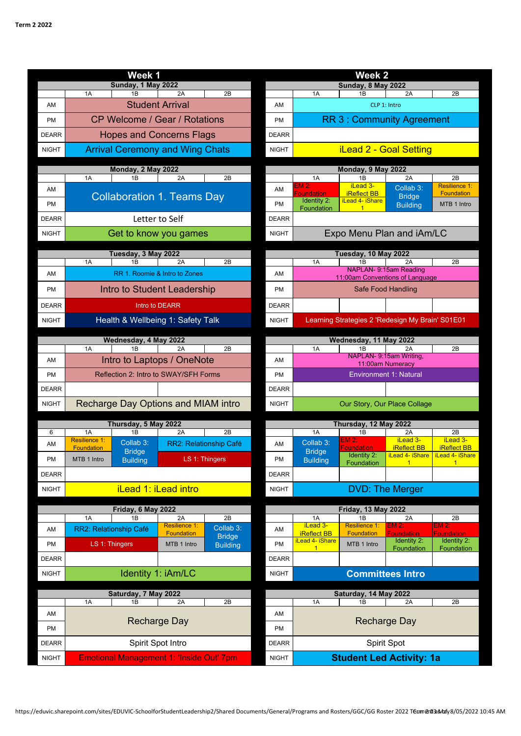|              |                                        | Week 1                                          |                               |                        | Week <sub>2</sub>          |                                         |                                                  |                                               |                                           |  |  |
|--------------|----------------------------------------|-------------------------------------------------|-------------------------------|------------------------|----------------------------|-----------------------------------------|--------------------------------------------------|-----------------------------------------------|-------------------------------------------|--|--|
|              | <b>Sunday, 1 May 2022</b>              |                                                 |                               |                        |                            | <b>Sunday, 8 May 2022</b>               |                                                  |                                               |                                           |  |  |
|              | 1A                                     | 1B                                              | 2A                            | 2B                     |                            | 1A                                      | 1B                                               | 2A                                            | 2B                                        |  |  |
| AM           |                                        | <b>Student Arrival</b>                          |                               |                        | AM                         |                                         |                                                  | CLP 1: Intro                                  |                                           |  |  |
| <b>PM</b>    |                                        | CP Welcome / Gear / Rotations                   |                               |                        | <b>PM</b>                  | <b>RR 3: Community Agreement</b>        |                                                  |                                               |                                           |  |  |
| <b>DEARR</b> |                                        | <b>Hopes and Concerns Flags</b>                 |                               |                        | <b>DEARR</b>               |                                         |                                                  |                                               |                                           |  |  |
| <b>NIGHT</b> | <b>Arrival Ceremony and Wing Chats</b> |                                                 |                               |                        |                            | <b>iLead 2 - Goal Setting</b>           |                                                  |                                               |                                           |  |  |
|              | Monday, 2 May 2022                     |                                                 |                               |                        |                            | Monday, 9 May 2022                      |                                                  |                                               |                                           |  |  |
|              | 1A                                     | 1B                                              | 2A                            | 2B                     |                            | 1A                                      | 1B                                               | 2A                                            | 2B                                        |  |  |
| AM           |                                        | <b>Collaboration 1. Teams Day</b>               |                               |                        | AM                         | $EM2$ :<br><b>Foundation</b>            | iLead 3-<br><b>iReflect BB</b>                   | Collab 3:<br><b>Bridge</b>                    | <b>Resilience 1:</b><br><b>Foundation</b> |  |  |
| <b>PM</b>    |                                        |                                                 |                               |                        | <b>PM</b>                  | <b>Identity 2:</b><br>Foundation        | <b>iLead 4- iShare</b>                           | <b>Building</b>                               | MTB 1 Intro                               |  |  |
| <b>DEARR</b> |                                        | Letter to Self                                  |                               |                        | <b>DEARR</b>               |                                         |                                                  |                                               |                                           |  |  |
| <b>NIGHT</b> |                                        | Get to know you games                           |                               |                        | <b>NIGHT</b>               | Expo Menu Plan and iAm/LC               |                                                  |                                               |                                           |  |  |
|              |                                        | Tuesday, 3 May 2022                             |                               |                        | Tuesday, 10 May 2022       |                                         |                                                  |                                               |                                           |  |  |
|              | 1A                                     | 1B                                              | 2A                            | 2B                     |                            | 1A                                      | 1B                                               | 2A<br>NAPLAN- 9:15am Reading                  | 2B                                        |  |  |
| AM           |                                        |                                                 | RR 1. Roomie & Intro to Zones |                        | AM                         |                                         | 11:00am Conventions of Language                  |                                               |                                           |  |  |
| <b>PM</b>    |                                        | Intro to Student Leadership                     |                               |                        | <b>PM</b>                  |                                         | Safe Food Handling                               |                                               |                                           |  |  |
| <b>DEARR</b> | Intro to DEARR                         |                                                 |                               |                        | <b>DEARR</b>               |                                         |                                                  |                                               |                                           |  |  |
| <b>NIGHT</b> |                                        | Health & Wellbeing 1: Safety Talk               |                               |                        | <b>NIGHT</b>               |                                         | Learning Strategies 2 'Redesign My Brain' S01E01 |                                               |                                           |  |  |
|              |                                        | Wednesday, 4 May 2022                           |                               |                        |                            |                                         | Wednesday, 11 May 2022                           |                                               |                                           |  |  |
|              | 1A                                     | 1B                                              | 2A                            | 2B                     |                            | 1A                                      | 1B<br>NAPLAN- 9:15am Writing,                    | 2A                                            | 2B                                        |  |  |
| AM           |                                        | Intro to Laptops / OneNote                      |                               |                        | AM                         |                                         |                                                  | 11:00am Numeracy                              |                                           |  |  |
| <b>PM</b>    |                                        | Reflection 2: Intro to SWAY/SFH Forms           |                               |                        | <b>PM</b>                  |                                         |                                                  | <b>Environment 1: Natural</b>                 |                                           |  |  |
| <b>DEARR</b> |                                        |                                                 |                               |                        | <b>DEARR</b>               |                                         |                                                  |                                               |                                           |  |  |
| <b>NIGHT</b> | Recharge Day Options and MIAM intro    |                                                 |                               |                        | <b>NIGHT</b>               |                                         |                                                  | Our Story, Our Place Collage                  |                                           |  |  |
|              |                                        | Thursday, 5 May 2022                            |                               |                        |                            |                                         | Thursday, 12 May 2022                            |                                               |                                           |  |  |
| 6            | 1A<br>Resilience 1:                    | 1B                                              | 2A                            | 2B                     |                            | 1A                                      | 1B<br>EM 2:                                      | 2A<br>iLead 3-                                | 2B<br>iLead 3-                            |  |  |
| AM           | <b>Foundation</b>                      | Collab 3:<br><b>Bridge</b>                      |                               | RR2: Relationship Café | AM                         | Collab 3:<br><b>Bridge</b>              | <b>Foundation</b>                                | <b>iReflect BB</b>                            | <b>iReflect BB</b>                        |  |  |
| <b>PM</b>    | MTB 1 Intro                            | <b>Building</b>                                 |                               | LS 1: Thingers         | PM                         | <b>Building</b>                         | <b>Identity 2:</b><br>Foundation                 | <u>iLead 4- iShare   iLead 4- iShare</u><br>1 | 1                                         |  |  |
| <b>DEARR</b> |                                        |                                                 |                               |                        | <b>DEARR</b>               |                                         |                                                  |                                               |                                           |  |  |
| <b>NIGHT</b> |                                        | <b>iLead 1: iLead intro</b>                     |                               |                        | <b>NIGHT</b>               |                                         | <b>DVD: The Merger</b>                           |                                               |                                           |  |  |
|              |                                        | Friday, 6 May 2022                              |                               |                        | <b>Friday, 13 May 2022</b> |                                         |                                                  |                                               |                                           |  |  |
|              | 1A                                     | 1B                                              | 2A<br><b>Resilience 1:</b>    | 2B<br>Collab 3:        |                            | 1A<br>iLead 3-                          | 1B<br><b>Resilience 1:</b>                       | 2A<br>EM 2:                                   | 2B<br>EM 2:                               |  |  |
| AM           | RR2: Relationship Café                 |                                                 | <b>Foundation</b>             | <b>Bridge</b>          | AM                         | <b>iReflect BB</b><br>iLead 4- iShare   | <b>Foundation</b>                                | <b>Foundation</b><br>Identity 2:              | <b>Foundation</b><br>Identity 2:          |  |  |
| PM           | LS 1: Thingers                         |                                                 | MTB 1 Intro                   | <b>Building</b>        | PM                         | $\mathbf{1}$                            | MTB 1 Intro                                      | Foundation                                    | Foundation                                |  |  |
| <b>DEARR</b> |                                        |                                                 |                               |                        | <b>DEARR</b>               |                                         |                                                  |                                               |                                           |  |  |
| <b>NIGHT</b> | Identity 1: iAm/LC                     |                                                 |                               |                        |                            | <b>Committees Intro</b><br><b>NIGHT</b> |                                                  |                                               |                                           |  |  |
|              | Saturday, 7 May 2022                   |                                                 |                               |                        |                            |                                         | Saturday, 14 May 2022                            |                                               |                                           |  |  |
|              | 1A                                     | 1B                                              | 2A                            | 2B                     |                            | 1A                                      | 1B                                               | 2A                                            | 2B                                        |  |  |
| AM           |                                        | <b>Recharge Day</b>                             |                               |                        | AM                         | <b>Recharge Day</b>                     |                                                  |                                               |                                           |  |  |
| PM           |                                        |                                                 |                               |                        | PM                         |                                         |                                                  |                                               |                                           |  |  |
| <b>DEARR</b> | Spirit Spot Intro                      |                                                 |                               |                        | <b>DEARR</b>               | Spirit Spot                             |                                                  |                                               |                                           |  |  |
| <b>NIGHT</b> |                                        | <b>Emotional Management 1: 'Inside Out' 7pm</b> |                               |                        | <b>NIGHT</b>               |                                         | <b>Student Led Activity: 1a</b>                  |                                               |                                           |  |  |
|              |                                        |                                                 |                               |                        |                            |                                         |                                                  |                                               |                                           |  |  |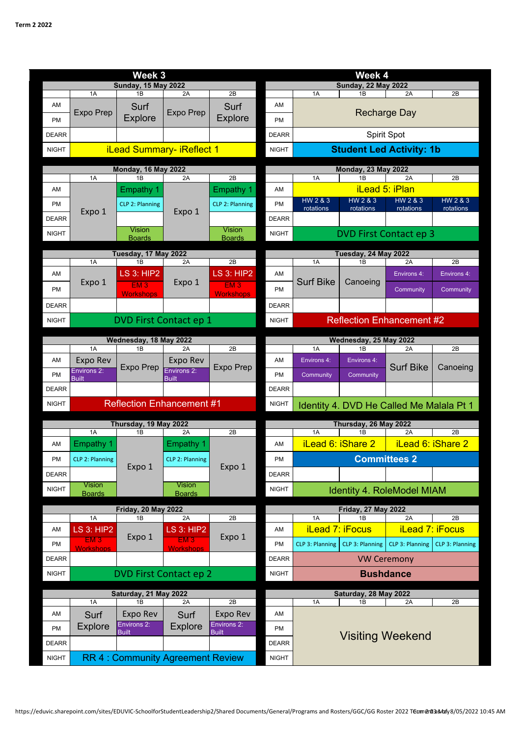| Week 3                                        |                                               |                                         |                                  |                                              |                            | Week 4                           |                            |                                          |                       |  |  |
|-----------------------------------------------|-----------------------------------------------|-----------------------------------------|----------------------------------|----------------------------------------------|----------------------------|----------------------------------|----------------------------|------------------------------------------|-----------------------|--|--|
| <b>Sunday, 15 May 2022</b>                    |                                               |                                         |                                  |                                              |                            | <b>Sunday, 22 May 2022</b>       |                            |                                          |                       |  |  |
|                                               | 1A                                            | 1B                                      | 2A                               | 2B                                           |                            | 1A                               | 1B                         | 2A                                       | 2B                    |  |  |
| AM                                            | <b>Expo Prep</b>                              | Surf                                    | <b>Expo Prep</b>                 | Surf                                         | AM                         |                                  |                            | <b>Recharge Day</b>                      |                       |  |  |
| <b>PM</b>                                     |                                               | <b>Explore</b>                          |                                  | <b>Explore</b>                               | <b>PM</b>                  |                                  |                            |                                          |                       |  |  |
| <b>DEARR</b>                                  |                                               |                                         |                                  |                                              | <b>DEARR</b>               |                                  |                            | Spirit Spot                              |                       |  |  |
| <b>NIGHT</b>                                  |                                               | <b>iLead Summary- iReflect 1</b>        |                                  |                                              | <b>NIGHT</b>               | <b>Student Led Activity: 1b</b>  |                            |                                          |                       |  |  |
|                                               |                                               | <b>Monday, 16 May 2022</b>              |                                  |                                              |                            | <b>Monday, 23 May 2022</b>       |                            |                                          |                       |  |  |
|                                               | 1A                                            | 1B                                      | 2A                               | 2B                                           |                            | 1A                               | 1B                         | 2A                                       | 2B                    |  |  |
| AM                                            |                                               | <b>Empathy 1</b>                        |                                  | <b>Empathy 1</b>                             | AM                         |                                  | iLead 5: iPlan             |                                          |                       |  |  |
| <b>PM</b>                                     | Expo 1                                        | CLP 2: Planning                         | Expo 1                           | CLP 2: Planning                              | <b>PM</b>                  | HW 2 & 3<br>rotations            | HW 2 & 3<br>rotations      | HW 2 & 3<br>rotations                    | HW 2 & 3<br>rotations |  |  |
| <b>DEARR</b>                                  |                                               |                                         |                                  |                                              | <b>DEARR</b>               |                                  |                            |                                          |                       |  |  |
| <b>NIGHT</b>                                  |                                               | Vision<br><b>Boards</b>                 |                                  | Vision<br><b>Boards</b>                      | <b>NIGHT</b>               |                                  |                            | <b>DVD First Contact ep 3</b>            |                       |  |  |
|                                               |                                               |                                         |                                  |                                              |                            |                                  |                            |                                          |                       |  |  |
|                                               | 1A                                            | Tuesday, 17 May 2022<br>1B              | 2A                               | 2B                                           |                            | 1A                               | Tuesday, 24 May 2022<br>1B | 2A                                       | 2B                    |  |  |
| AM                                            |                                               | <b>LS 3: HIP2</b>                       | Expo 1                           | <b>LS 3: HIP2</b><br>EM3<br><b>Workshops</b> | AM                         | <b>Surf Bike</b>                 | Canoeing                   | Environs 4:                              | Environs 4:           |  |  |
| <b>PM</b>                                     | Expo 1                                        | EM3<br><b>Workshops</b>                 |                                  |                                              | <b>PM</b>                  |                                  |                            | Community                                | Community             |  |  |
| <b>DEARR</b>                                  |                                               |                                         |                                  |                                              | <b>DEARR</b>               |                                  |                            |                                          |                       |  |  |
| <b>NIGHT</b>                                  | DVD First Contact ep 1                        |                                         |                                  |                                              | <b>NIGHT</b>               | <b>Reflection Enhancement #2</b> |                            |                                          |                       |  |  |
|                                               |                                               |                                         |                                  |                                              |                            | Wednesday, 25 May 2022           |                            |                                          |                       |  |  |
|                                               | 1A                                            | Wednesday, 18 May 2022<br>1B            | 2A                               | 2B                                           |                            | 1A                               | 1B                         | 2A                                       | 2B                    |  |  |
| AM                                            | <b>Expo Rev</b>                               |                                         | Expo Rev                         |                                              | AM                         | Environs 4:                      | Environs 4:                |                                          |                       |  |  |
| <b>PM</b>                                     | Environs 2:                                   | <b>Expo Prep</b>                        | Environs 2:                      | <b>Expo Prep</b>                             | <b>PM</b>                  | Community                        | Community                  | <b>Surf Bike</b>                         | Canoeing              |  |  |
| <b>DEARR</b>                                  | <b>Built</b>                                  |                                         | <b>Built</b>                     |                                              | <b>DEARR</b>               |                                  |                            |                                          |                       |  |  |
| <b>NIGHT</b>                                  |                                               | <b>Reflection Enhancement #1</b>        |                                  |                                              | <b>NIGHT</b>               |                                  |                            | Identity 4. DVD He Called Me Malala Pt 1 |                       |  |  |
|                                               |                                               |                                         |                                  |                                              |                            |                                  |                            |                                          |                       |  |  |
|                                               | Thursday, 19 May 2022<br>1A<br>1B<br>2A<br>2B |                                         |                                  |                                              | 1A                         | Thursday, 26 May 2022<br>1B      | 2A                         | 2B                                       |                       |  |  |
| AM                                            | <b>Empathy 1</b>                              |                                         | <b>Empathy 1</b>                 |                                              | AM                         |                                  | iLead 6: iShare 2          | $\frac{1}{2}$ iLead 6: iShare 2          |                       |  |  |
| <b>PM</b>                                     | CLP 2: Planning                               |                                         | CLP 2: Planning<br><b>Vision</b> | Expo 1                                       | PM                         |                                  |                            | <b>Committees 2</b>                      |                       |  |  |
| <b>DEARR</b>                                  |                                               | Expo 1                                  |                                  |                                              | <b>DEARR</b>               |                                  |                            |                                          |                       |  |  |
| <b>NIGHT</b>                                  | <b>Vision</b>                                 |                                         |                                  |                                              | <b>NIGHT</b>               |                                  |                            |                                          |                       |  |  |
|                                               | <b>Boards</b>                                 |                                         | <b>Boards</b>                    |                                              |                            |                                  |                            | Identity 4. RoleModel MIAM               |                       |  |  |
|                                               |                                               | <b>Friday, 20 May 2022</b>              |                                  |                                              | <b>Friday, 27 May 2022</b> |                                  |                            |                                          |                       |  |  |
| AM                                            | 1A<br><b>LS 3: HIP2</b>                       | 1B                                      | 2A<br><b>LS 3: HIP2</b>          | 2B                                           | AM                         | 1A<br><b>iLead 7: iFocus</b>     | 1B                         | 2A<br><b>iLead 7: iFocus</b>             | 2B                    |  |  |
| PM                                            | EM3                                           | Expo 1                                  | EM3                              | Expo 1                                       | PM                         | CLP 3: Planning                  | CLP 3: Planning            | CLP 3: Planning                          | CLP 3: Planning       |  |  |
|                                               | <b>Workshops</b>                              |                                         | <b>Workshops</b>                 |                                              |                            |                                  |                            |                                          |                       |  |  |
| <b>DEARR</b>                                  |                                               |                                         |                                  |                                              | <b>DEARR</b>               |                                  |                            | <b>VW Ceremony</b>                       |                       |  |  |
| <b>DVD First Contact ep 2</b><br><b>NIGHT</b> |                                               |                                         |                                  |                                              | <b>NIGHT</b>               |                                  |                            | <b>Bushdance</b>                         |                       |  |  |
|                                               | Saturday, 21 May 2022                         |                                         |                                  |                                              |                            |                                  | Saturday, 28 May 2022      |                                          |                       |  |  |
|                                               | 1A                                            | 1B                                      | 2A                               | 2B                                           |                            | 1A                               | 1B                         | 2A                                       | 2B                    |  |  |
| AM                                            | Surf                                          | <b>Expo Rev</b><br>Environs 2:          | Surf                             | Expo Rev<br>Environs 2:                      | AM                         | <b>Visiting Weekend</b>          |                            |                                          |                       |  |  |
| PM                                            | <b>Explore</b>                                | <b>Built</b>                            | <b>Explore</b>                   | <b>Built</b>                                 | PM                         |                                  |                            |                                          |                       |  |  |
| <b>DEARR</b>                                  |                                               |                                         |                                  |                                              | <b>DEARR</b>               |                                  |                            |                                          |                       |  |  |
| <b>NIGHT</b>                                  |                                               | <b>RR 4: Community Agreement Review</b> |                                  |                                              | <b>NIGHT</b>               |                                  |                            |                                          |                       |  |  |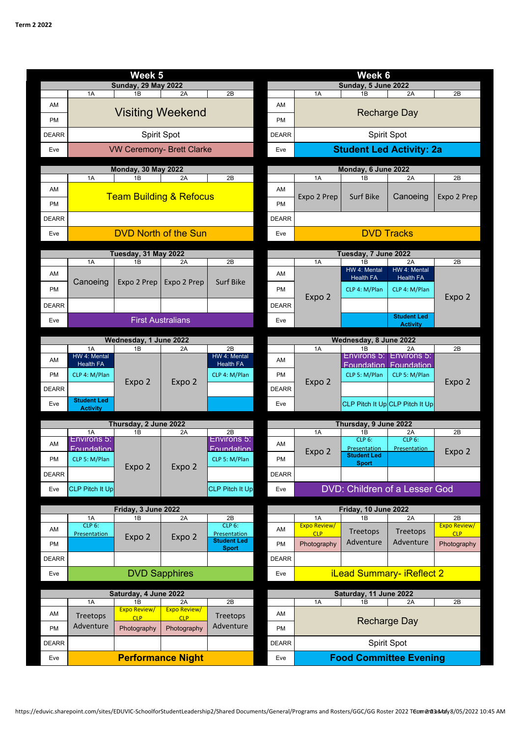| Week <sub>5</sub>          |                            |                              |                                    |                                           |              | Week 6                           |                                  |                                  |                                   |  |  |
|----------------------------|----------------------------|------------------------------|------------------------------------|-------------------------------------------|--------------|----------------------------------|----------------------------------|----------------------------------|-----------------------------------|--|--|
| <b>Sunday, 29 May 2022</b> |                            |                              |                                    |                                           |              | Sunday, 5 June 2022              |                                  |                                  |                                   |  |  |
|                            | 1A                         | 1B                           | 2A                                 | 2B                                        |              | 1A                               | 1B                               | 2A                               | 2B                                |  |  |
| AM                         |                            | <b>Visiting Weekend</b>      |                                    |                                           | AM           | Recharge Day                     |                                  |                                  |                                   |  |  |
| <b>PM</b>                  |                            |                              |                                    |                                           | <b>PM</b>    |                                  |                                  |                                  |                                   |  |  |
| <b>DEARR</b>               |                            |                              | Spirit Spot                        |                                           | <b>DEARR</b> | Spirit Spot                      |                                  |                                  |                                   |  |  |
| Eve                        |                            |                              | <b>VW Ceremony- Brett Clarke</b>   |                                           | Eve          | <b>Student Led Activity: 2a</b>  |                                  |                                  |                                   |  |  |
|                            |                            | <b>Monday, 30 May 2022</b>   |                                    |                                           |              | Monday, 6 June 2022              |                                  |                                  |                                   |  |  |
|                            | 1A                         | 1B                           | 2A                                 | 2B                                        |              | 1A                               | 1B                               | 2A                               | 2B                                |  |  |
| AM                         |                            |                              | <b>Team Building &amp; Refocus</b> |                                           | AM           | Expo 2 Prep                      | <b>Surf Bike</b>                 | Canoeing                         | Expo 2 Prep                       |  |  |
| <b>PM</b>                  |                            |                              |                                    |                                           | <b>PM</b>    |                                  |                                  |                                  |                                   |  |  |
| <b>DEARR</b>               |                            |                              |                                    |                                           | <b>DEARR</b> |                                  |                                  |                                  |                                   |  |  |
| Eve                        |                            |                              | <b>DVD North of the Sun</b>        |                                           | Eve          | <b>DVD Tracks</b>                |                                  |                                  |                                   |  |  |
|                            |                            | Tuesday, 31 May 2022         |                                    |                                           |              |                                  | Tuesday, 7 June 2022             |                                  |                                   |  |  |
|                            | 1A                         | 1B                           | 2A                                 | 2B                                        |              | 1A                               | 1B                               | 2A                               | 2B                                |  |  |
| AM                         |                            |                              |                                    |                                           | AM           |                                  | HW 4: Mental<br><b>Health FA</b> | HW 4: Mental<br><b>Health FA</b> |                                   |  |  |
| <b>PM</b>                  | Canoeing                   | Expo 2 Prep                  | Expo 2 Prep                        | <b>Surf Bike</b>                          | <b>PM</b>    |                                  | CLP 4: M/Plan                    | CLP 4: M/Plan                    | Expo 2                            |  |  |
| <b>DEARR</b>               |                            |                              |                                    |                                           | <b>DEARR</b> | Expo 2                           |                                  |                                  |                                   |  |  |
| Eve                        |                            |                              | <b>First Australians</b>           |                                           | Eve          |                                  |                                  | <b>Student Led</b>               |                                   |  |  |
|                            |                            |                              |                                    |                                           |              |                                  |                                  | <b>Activity</b>                  |                                   |  |  |
|                            | 1A                         | Wednesday, 1 June 2022<br>1B | 2A                                 | 2B                                        |              | 1A                               | Wednesday, 8 June 2022<br>1B     | 2A                               | 2B                                |  |  |
| AM                         | HW 4: Mental               |                              |                                    | HW 4: Mental                              | AM           |                                  | Environs 5:                      | Environs 5:                      |                                   |  |  |
| <b>PM</b>                  | Health FA<br>CLP 4: M/Plan | Expo 2                       | Expo 2                             | Health FA<br>CLP 4: M/Plan                | <b>PM</b>    | Expo 2                           | Foundation<br>CLP 5: M/Plan      | Foundation<br>CLP 5: M/Plan      | Expo 2                            |  |  |
| <b>DEARR</b>               |                            |                              |                                    |                                           | <b>DEARR</b> |                                  |                                  |                                  |                                   |  |  |
|                            | <b>Student Led</b>         |                              |                                    |                                           |              |                                  |                                  | CLP Pitch It Up CLP Pitch It Up  |                                   |  |  |
| Eve                        | <b>Activity</b>            |                              |                                    |                                           | Eve          |                                  |                                  |                                  |                                   |  |  |
|                            |                            | Thursday, 2 June 2022        |                                    |                                           |              |                                  | Thursday, 9 June 2022            |                                  |                                   |  |  |
| AM                         | 1A<br>Environs 5:          | 1B                           | 2A                                 | 2B<br>Environs 5:                         | AM           | 1A                               | 1B<br>CLP <sub>6</sub> :         | 2A<br>CLP 6:                     | 2B                                |  |  |
|                            | <b>Foundation</b>          |                              |                                    | <b>Foundation</b>                         |              | Expo 2                           | Presentation<br>Student Led      | Presentation                     | Expo 2                            |  |  |
| <b>PM</b>                  | CLP 5: M/Plan              | Expo 2                       | Expo 2                             | CLP 5: M/Plan                             | PM           |                                  | <b>Sport</b>                     |                                  |                                   |  |  |
| <b>DEARR</b>               |                            |                              |                                    |                                           | <b>DEARR</b> |                                  |                                  |                                  |                                   |  |  |
| Eve                        | CLP Pitch It Up            |                              |                                    | <b>CLP Pitch It Up</b>                    | Eve          |                                  | DVD: Children of a Lesser God    |                                  |                                   |  |  |
|                            |                            | Friday, 3 June 2022          |                                    |                                           |              | Friday, 10 June 2022             |                                  |                                  |                                   |  |  |
|                            | $1A$                       | 1B                           | 2A                                 | 2B                                        |              | 1A                               | 1B                               | 2A                               | 2B                                |  |  |
| AM                         | CLP 6:<br>Presentation     |                              |                                    | CLP <sub>6</sub> :<br><b>Presentation</b> | AM           | Expo Review/<br><b>CLP</b>       | Treetops                         | Treetops                         | <b>Expo Review/</b><br><b>CLP</b> |  |  |
| <b>PM</b>                  |                            | Expo 2                       | Expo 2                             | <b>Student Led</b><br><b>Sport</b>        | <b>PM</b>    | Photography                      | Adventure                        | Adventure                        | Photography                       |  |  |
| <b>DEARR</b>               |                            |                              |                                    |                                           | <b>DEARR</b> |                                  |                                  |                                  |                                   |  |  |
| Eve                        | <b>DVD Sapphires</b>       |                              |                                    |                                           |              | <b>iLead Summary- iReflect 2</b> |                                  |                                  |                                   |  |  |
| Saturday, 4 June 2022      |                            |                              |                                    |                                           |              |                                  |                                  |                                  |                                   |  |  |
|                            | 1A                         | 1B                           | 2A                                 | 2B                                        |              | 1A                               | Saturday, 11 June 2022<br>1B     | 2A                               | 2B                                |  |  |
| AM                         | Treetops                   | Expo Review/<br><b>CLP</b>   | Expo Review/<br><b>CLP</b>         | Treetops                                  | AM           |                                  |                                  |                                  |                                   |  |  |
| <b>PM</b>                  | Adventure                  | Photography                  | Photography                        | Adventure                                 | PM           |                                  |                                  | <b>Recharge Day</b>              |                                   |  |  |
| <b>DEARR</b>               |                            |                              |                                    |                                           | <b>DEARR</b> |                                  |                                  | Spirit Spot                      |                                   |  |  |
| Eve                        |                            |                              | <b>Performance Night</b>           |                                           | Eve          | <b>Food Committee Evening</b>    |                                  |                                  |                                   |  |  |
|                            |                            |                              |                                    |                                           |              |                                  |                                  |                                  |                                   |  |  |